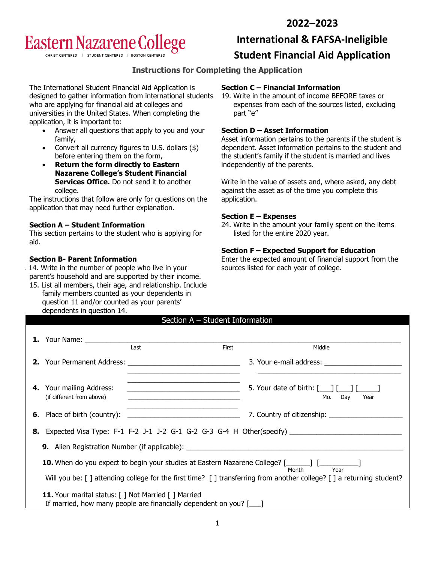# **2022–2023**

# **Eastern Nazarene College**

CHRIST CENTERED | STUDENT CENTERED | BOSTON CEN

# **International & FAFSA-Ineligible**

# **Student Financial Aid Application**

## **Instructions for Completing the Application**

The International Student Financial Aid Application is designed to gather information from international students who are applying for financial aid at colleges and universities in the United States. When completing the application, it is important to:

- Answer all questions that apply to you and your family,
- Convert all currency figures to U.S. dollars  $(\$)$ before entering them on the form,
- **Return the form directly to Eastern Nazarene College's Student Financial Services Office.** Do not send it to another college.

The instructions that follow are only for questions on the application that may need further explanation.

### **Section A – Student Information**

This section pertains to the student who is applying for aid.

### **Section B- Parent Information**

- 14. Write in the number of people who live in your parent's household and are supported by their income.
- 15. List all members, their age, and relationship. Include family members counted as your dependents in question 11 and/or counted as your parents' dependents in question 14. Section A – Student Information

## **Section C – Financial Information**

19. Write in the amount of income BEFORE taxes or expenses from each of the sources listed, excluding part "e"

## **Section D – Asset Information**

Asset information pertains to the parents if the student is dependent. Asset information pertains to the student and the student's family if the student is married and lives independently of the parents.

Write in the value of assets and, where asked, any debt against the asset as of the time you complete this application.

#### **Section E – Expenses**

24. Write in the amount your family spent on the items listed for the entire 2020 year.

#### **Section F – Expected Support for Education**

Enter the expected amount of financial support from the sources listed for each year of college.

|                                                                                                                                      | <b>1.</b> Your Name:                                                                                                                        |                                                            |                                                                                             |  |  |
|--------------------------------------------------------------------------------------------------------------------------------------|---------------------------------------------------------------------------------------------------------------------------------------------|------------------------------------------------------------|---------------------------------------------------------------------------------------------|--|--|
|                                                                                                                                      |                                                                                                                                             | Last<br>First                                              | Middle                                                                                      |  |  |
|                                                                                                                                      |                                                                                                                                             |                                                            | 3. Your e-mail address:                                                                     |  |  |
|                                                                                                                                      | <b>4.</b> Your mailing Address:<br>(if different from above)                                                                                | <u> 1989 - Johann John Stein, fransk politik (d. 1989)</u> | 5. Your date of birth: $\begin{bmatrix} 1 & 1 \\ 1 & 1 \end{bmatrix}$<br>Day<br>Mo.<br>Year |  |  |
|                                                                                                                                      |                                                                                                                                             |                                                            |                                                                                             |  |  |
|                                                                                                                                      | <b>8.</b> Expected Visa Type: F-1 F-2 J-1 J-2 G-1 G-2 G-3 G-4 H Other(specify)                                                              |                                                            |                                                                                             |  |  |
| <b>9.</b> Alien Registration Number (if applicable): _________________________________                                               |                                                                                                                                             |                                                            |                                                                                             |  |  |
| 10. When do you expect to begin your studies at Eastern Nazarene College? [______] [____________]<br>Year<br>Month                   |                                                                                                                                             |                                                            |                                                                                             |  |  |
|                                                                                                                                      | Will you be: $\lceil$ ] attending college for the first time? $\lceil$ ] transferring from another college? $\lceil$ ] a returning student? |                                                            |                                                                                             |  |  |
| <b>11.</b> Your marital status: [ ] Not Married [ ] Married<br>If married, how many people are financially dependent on you? $[\_\]$ |                                                                                                                                             |                                                            |                                                                                             |  |  |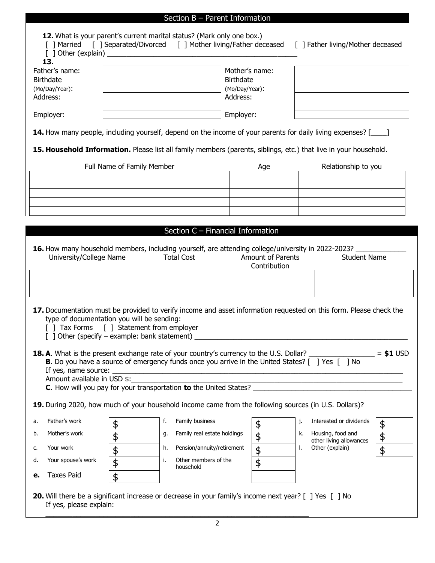|                                                                                                                                                                                                                                                                                                                                                                                                                                                                                                                                                                                                                      |                                                                                                                                                                                                                        |                            | Section $B$ – Parent Information  |                                                                  |     |    |                                              |    |
|----------------------------------------------------------------------------------------------------------------------------------------------------------------------------------------------------------------------------------------------------------------------------------------------------------------------------------------------------------------------------------------------------------------------------------------------------------------------------------------------------------------------------------------------------------------------------------------------------------------------|------------------------------------------------------------------------------------------------------------------------------------------------------------------------------------------------------------------------|----------------------------|-----------------------------------|------------------------------------------------------------------|-----|----|----------------------------------------------|----|
| 12. What is your parent's current marital status? (Mark only one box.)<br>[] Married [] Separated/Divorced [] Mother living/Father deceased<br>[ ] Father living/Mother deceased                                                                                                                                                                                                                                                                                                                                                                                                                                     |                                                                                                                                                                                                                        |                            |                                   |                                                                  |     |    |                                              |    |
| 13.<br>Father's name:<br><b>Birthdate</b><br>(Mo/Day/Year):<br>Address:                                                                                                                                                                                                                                                                                                                                                                                                                                                                                                                                              |                                                                                                                                                                                                                        |                            |                                   | Mother's name:<br><b>Birthdate</b><br>(Mo/Day/Year):<br>Address: |     |    |                                              |    |
| Employer:                                                                                                                                                                                                                                                                                                                                                                                                                                                                                                                                                                                                            |                                                                                                                                                                                                                        |                            |                                   | Employer:                                                        |     |    |                                              |    |
| 14. How many people, including yourself, depend on the income of your parents for daily living expenses? [____]                                                                                                                                                                                                                                                                                                                                                                                                                                                                                                      |                                                                                                                                                                                                                        |                            |                                   |                                                                  |     |    |                                              |    |
| 15. Household Information. Please list all family members (parents, siblings, etc.) that live in your household.                                                                                                                                                                                                                                                                                                                                                                                                                                                                                                     |                                                                                                                                                                                                                        |                            |                                   |                                                                  |     |    |                                              |    |
|                                                                                                                                                                                                                                                                                                                                                                                                                                                                                                                                                                                                                      |                                                                                                                                                                                                                        | Full Name of Family Member |                                   |                                                                  | Age |    | Relationship to you                          |    |
|                                                                                                                                                                                                                                                                                                                                                                                                                                                                                                                                                                                                                      |                                                                                                                                                                                                                        |                            |                                   |                                                                  |     |    |                                              |    |
|                                                                                                                                                                                                                                                                                                                                                                                                                                                                                                                                                                                                                      |                                                                                                                                                                                                                        |                            |                                   |                                                                  |     |    |                                              |    |
|                                                                                                                                                                                                                                                                                                                                                                                                                                                                                                                                                                                                                      |                                                                                                                                                                                                                        |                            |                                   |                                                                  |     |    |                                              |    |
|                                                                                                                                                                                                                                                                                                                                                                                                                                                                                                                                                                                                                      |                                                                                                                                                                                                                        |                            |                                   |                                                                  |     |    |                                              |    |
|                                                                                                                                                                                                                                                                                                                                                                                                                                                                                                                                                                                                                      |                                                                                                                                                                                                                        |                            | Section C - Financial Information |                                                                  |     |    |                                              |    |
|                                                                                                                                                                                                                                                                                                                                                                                                                                                                                                                                                                                                                      | 16. How many household members, including yourself, are attending college/university in 2022-2023? _______<br>University/College Name<br><b>Total Cost</b><br>Amount of Parents<br><b>Student Name</b><br>Contribution |                            |                                   |                                                                  |     |    |                                              |    |
|                                                                                                                                                                                                                                                                                                                                                                                                                                                                                                                                                                                                                      |                                                                                                                                                                                                                        |                            |                                   |                                                                  |     |    |                                              |    |
|                                                                                                                                                                                                                                                                                                                                                                                                                                                                                                                                                                                                                      |                                                                                                                                                                                                                        |                            |                                   |                                                                  |     |    |                                              |    |
| 17. Documentation must be provided to verify income and asset information requested on this form. Please check the<br>type of documentation you will be sending:<br>[ ] Tax Forms [ ] Statement from employer<br>$\lceil$ ] Other (specify – example: bank statement) $\lceil$<br><u> 1980 - Jan Stein Berlin, Amerikaansk politiker (</u><br>18. A. What is the present exchange rate of your country's currency to the U.S. Dollar?<br>$= $1$ USD<br><b>B.</b> Do you have a source of emergency funds once you arrive in the United States? [ ] Yes [ ] No<br>If yes, name source:<br>Amount available in USD \$: |                                                                                                                                                                                                                        |                            |                                   |                                                                  |     |    |                                              |    |
| 19. During 2020, how much of your household income came from the following sources (in U.S. Dollars)?                                                                                                                                                                                                                                                                                                                                                                                                                                                                                                                |                                                                                                                                                                                                                        |                            |                                   |                                                                  |     |    |                                              |    |
| Father's work<br>a.                                                                                                                                                                                                                                                                                                                                                                                                                                                                                                                                                                                                  | \$                                                                                                                                                                                                                     | f.                         | Family business                   |                                                                  | \$  | j. | Interested or dividends                      | \$ |
| Mother's work<br>b.                                                                                                                                                                                                                                                                                                                                                                                                                                                                                                                                                                                                  | \$                                                                                                                                                                                                                     | g.                         | Family real estate holdings       |                                                                  | \$  | k. | Housing, food and<br>other living allowances | \$ |
| Your work<br>c.                                                                                                                                                                                                                                                                                                                                                                                                                                                                                                                                                                                                      | $\frac{1}{2}$                                                                                                                                                                                                          | h.                         | Pension/annuity/retirement        |                                                                  | \$  | L. | Other (explain)                              | \$ |
| Your spouse's work<br>d.                                                                                                                                                                                                                                                                                                                                                                                                                                                                                                                                                                                             | $\overline{\mathbf{e}}$                                                                                                                                                                                                | i.                         | Other members of the<br>household |                                                                  | \$  |    |                                              |    |
| <b>Taxes Paid</b><br>е.                                                                                                                                                                                                                                                                                                                                                                                                                                                                                                                                                                                              | \$                                                                                                                                                                                                                     |                            |                                   |                                                                  |     |    |                                              |    |
| 20. Will there be a significant increase or decrease in your family's income next year? [ ] Yes [ ] No<br>If yes, please explain:                                                                                                                                                                                                                                                                                                                                                                                                                                                                                    |                                                                                                                                                                                                                        |                            |                                   |                                                                  |     |    |                                              |    |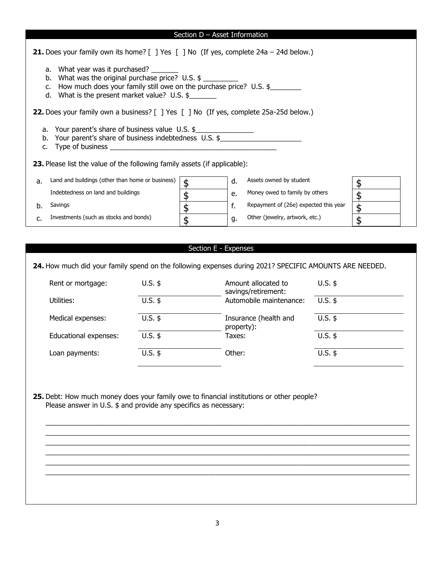#### Section D – Asset Information

| <b>21.</b> Does your family own its home? $\begin{bmatrix} 1 \end{bmatrix}$ Yes $\begin{bmatrix} 1 \end{bmatrix}$ No (If yes, complete 24a - 24d below.)                                                              |    |                                           |  |  |  |
|-----------------------------------------------------------------------------------------------------------------------------------------------------------------------------------------------------------------------|----|-------------------------------------------|--|--|--|
| a. What year was it purchased?<br>b. What was the original purchase price? U.S. $\frac{1}{2}$<br>How much does your family still owe on the purchase price? U.S. \$<br>d. What is the present market value? $U.S.$ \$ |    |                                           |  |  |  |
| <b>22.</b> Does your family own a business? [ ] Yes [ ] No (If yes, complete 25a-25d below.)                                                                                                                          |    |                                           |  |  |  |
| a. Your parent's share of business value U.S. \$<br>b. Your parent's share of business indebtedness U.S. \$<br>c. Type of business                                                                                    |    |                                           |  |  |  |
| <b>23.</b> Please list the value of the following family assets (if applicable):                                                                                                                                      |    |                                           |  |  |  |
| Land and buildings (other than home or business)<br>a.                                                                                                                                                                | \$ | Assets owned by student<br>$\mathsf{d}$ . |  |  |  |
| Indebtedness on land and buildings                                                                                                                                                                                    | \$ | Money owed to family by others<br>e.      |  |  |  |

| b. Savings | \$ |  |
|------------|----|--|
|            |    |  |

c. Investments (such as stocks and bonds)  $\int$ 

#### Section E - Expenses

f. Repayment of (26e) expected this year  $\sqrt{\frac{4}{3}}$ 

g. Other (jewelry, artwork, etc.)  $\int$ 

**24.** How much did your family spend on the following expenses during 2021? SPECIFIC AMOUNTS ARE NEEDED.

| Rent or mortgage:     | $U.S.$ \$ | Amount allocated to<br>savings/retirement: | $U.S.$ \$ |
|-----------------------|-----------|--------------------------------------------|-----------|
| Utilities:            | $U.S.$ \$ | Automobile maintenance:                    | $U.S.$ \$ |
| Medical expenses:     | $U.S.$ \$ | Insurance (health and<br>property):        | $U.S.$ \$ |
| Educational expenses: | $U.S.$ \$ | Taxes:                                     | $U.S.$ \$ |
| Loan payments:        | $U.S.$ \$ | Other:                                     | $U.S.$ \$ |

\_\_\_\_\_\_\_\_\_\_\_\_\_\_\_\_\_\_\_\_\_\_\_\_\_\_\_\_\_\_\_\_\_\_\_\_\_\_\_\_\_\_\_\_\_\_\_\_\_\_\_\_\_\_\_\_\_\_\_\_\_\_\_\_\_\_\_\_\_\_\_\_\_\_\_\_\_\_\_\_\_\_\_\_\_\_\_\_\_\_\_\_\_\_ \_\_\_\_\_\_\_\_\_\_\_\_\_\_\_\_\_\_\_\_\_\_\_\_\_\_\_\_\_\_\_\_\_\_\_\_\_\_\_\_\_\_\_\_\_\_\_\_\_\_\_\_\_\_\_\_\_\_\_\_\_\_\_\_\_\_\_\_\_\_\_\_\_\_\_\_\_\_\_\_\_\_\_\_\_\_\_\_\_\_\_\_\_\_ \_\_\_\_\_\_\_\_\_\_\_\_\_\_\_\_\_\_\_\_\_\_\_\_\_\_\_\_\_\_\_\_\_\_\_\_\_\_\_\_\_\_\_\_\_\_\_\_\_\_\_\_\_\_\_\_\_\_\_\_\_\_\_\_\_\_\_\_\_\_\_\_\_\_\_\_\_\_\_\_\_\_\_\_\_\_\_\_\_\_\_\_\_\_ \_\_\_\_\_\_\_\_\_\_\_\_\_\_\_\_\_\_\_\_\_\_\_\_\_\_\_\_\_\_\_\_\_\_\_\_\_\_\_\_\_\_\_\_\_\_\_\_\_\_\_\_\_\_\_\_\_\_\_\_\_\_\_\_\_\_\_\_\_\_\_\_\_\_\_\_\_\_\_\_\_\_\_\_\_\_\_\_\_\_\_\_\_\_ \_\_\_\_\_\_\_\_\_\_\_\_\_\_\_\_\_\_\_\_\_\_\_\_\_\_\_\_\_\_\_\_\_\_\_\_\_\_\_\_\_\_\_\_\_\_\_\_\_\_\_\_\_\_\_\_\_\_\_\_\_\_\_\_\_\_\_\_\_\_\_\_\_\_\_\_\_\_\_\_\_\_\_\_\_\_\_\_\_\_\_\_\_\_ \_\_\_\_\_\_\_\_\_\_\_\_\_\_\_\_\_\_\_\_\_\_\_\_\_\_\_\_\_\_\_\_\_\_\_\_\_\_\_\_\_\_\_\_\_\_\_\_\_\_\_\_\_\_\_\_\_\_\_\_\_\_\_\_\_\_\_\_\_\_\_\_\_\_\_\_\_\_\_\_\_\_\_\_\_\_\_\_\_\_\_\_\_\_

**25.** Debt: How much money does your family owe to financial institutions or other people? Please answer in U.S.  $\oint$  and provide any specifics as necessary: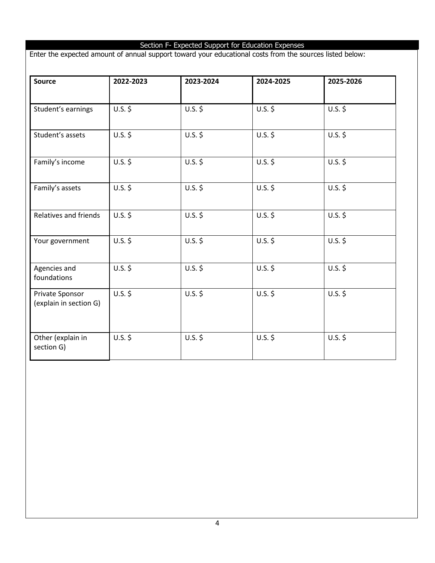# Section F- Expected Support for Education Expenses

Enter the expected amount of annual support toward your educational costs from the sources listed below:

| <b>Source</b>                             | 2022-2023 | 2023-2024 | 2024-2025 | 2025-2026 |
|-------------------------------------------|-----------|-----------|-----------|-----------|
| Student's earnings                        | $U.S.$ \$ | $U.S.$ \$ | $U.S.$ \$ | $U.S.$ \$ |
| Student's assets                          | $U.S.$ \$ | $U.S.$ \$ | $U.S.$ \$ | $U.S.$ \$ |
| Family's income                           | $U.S.$ \$ | $U.S.$ \$ | $U.S.$ \$ | $U.S.$ \$ |
| Family's assets                           | $U.S.$ \$ | $U.S.$ \$ | $U.S.$ \$ | $U.S.$ \$ |
| Relatives and friends                     | $U.S.$ \$ | $U.S.$ \$ | $U.S.$ \$ | $U.S.$ \$ |
| Your government                           | $U.S.$ \$ | $U.S.$ \$ | $U.S.$ \$ | $U.S.$ \$ |
| Agencies and<br>foundations               | $U.S.$ \$ | $U.S.$ \$ | $U.S.$ \$ | $U.S.$ \$ |
| Private Sponsor<br>(explain in section G) | $U.S.$ \$ | $U.S.$ \$ | $U.S.$ \$ | $U.S.$ \$ |
| Other (explain in<br>section G)           | $U.S.$ \$ | $U.S.$ \$ | $U.S.$ \$ | $U.S.$ \$ |